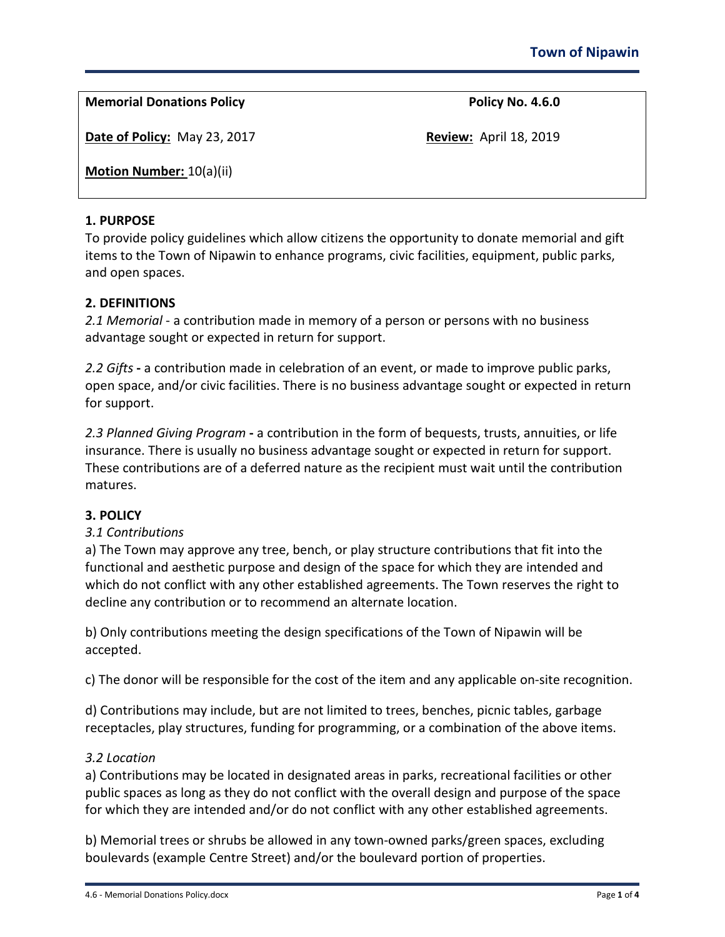**Memorial Donations Policy Policy No. 4.6.0**

**Date of Policy:** May 23, 2017 **Review:** April 18, 2019

**Motion Number:** 10(a)(ii)

# **1. PURPOSE**

To provide policy guidelines which allow citizens the opportunity to donate memorial and gift items to the Town of Nipawin to enhance programs, civic facilities, equipment, public parks, and open spaces.

# **2. DEFINITIONS**

*2.1 Memorial* - a contribution made in memory of a person or persons with no business advantage sought or expected in return for support.

*2.2 Gifts* **-** a contribution made in celebration of an event, or made to improve public parks, open space, and/or civic facilities. There is no business advantage sought or expected in return for support.

*2.3 Planned Giving Program* **-** a contribution in the form of bequests, trusts, annuities, or life insurance. There is usually no business advantage sought or expected in return for support. These contributions are of a deferred nature as the recipient must wait until the contribution matures.

# **3. POLICY**

# *3.1 Contributions*

a) The Town may approve any tree, bench, or play structure contributions that fit into the functional and aesthetic purpose and design of the space for which they are intended and which do not conflict with any other established agreements. The Town reserves the right to decline any contribution or to recommend an alternate location.

b) Only contributions meeting the design specifications of the Town of Nipawin will be accepted.

c) The donor will be responsible for the cost of the item and any applicable on-site recognition.

d) Contributions may include, but are not limited to trees, benches, picnic tables, garbage receptacles, play structures, funding for programming, or a combination of the above items.

# *3.2 Location*

a) Contributions may be located in designated areas in parks, recreational facilities or other public spaces as long as they do not conflict with the overall design and purpose of the space for which they are intended and/or do not conflict with any other established agreements.

b) Memorial trees or shrubs be allowed in any town-owned parks/green spaces, excluding boulevards (example Centre Street) and/or the boulevard portion of properties.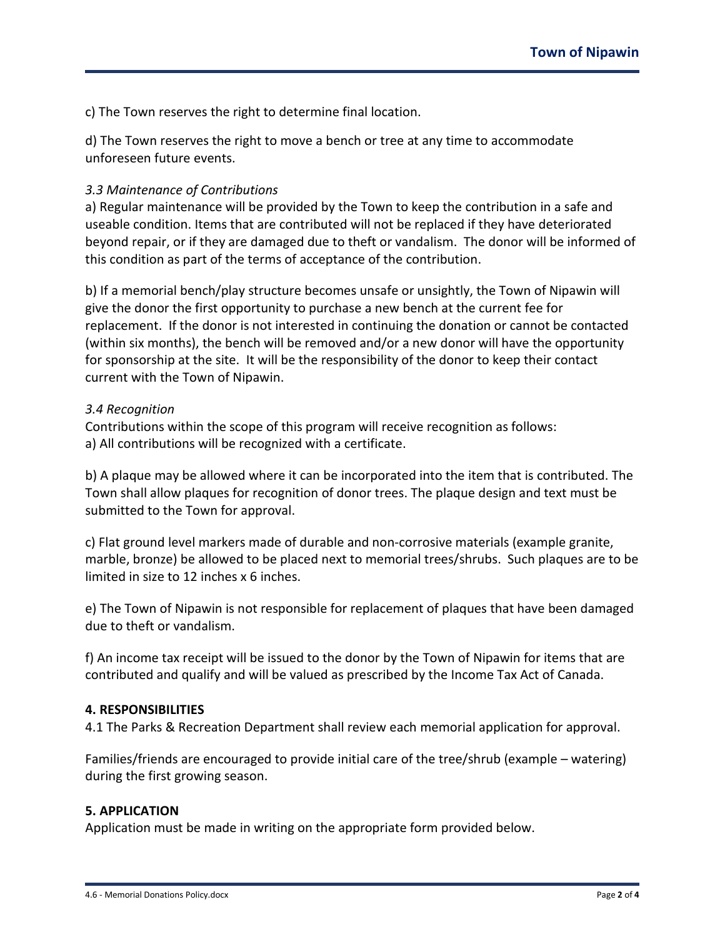c) The Town reserves the right to determine final location.

d) The Town reserves the right to move a bench or tree at any time to accommodate unforeseen future events.

#### *3.3 Maintenance of Contributions*

a) Regular maintenance will be provided by the Town to keep the contribution in a safe and useable condition. Items that are contributed will not be replaced if they have deteriorated beyond repair, or if they are damaged due to theft or vandalism. The donor will be informed of this condition as part of the terms of acceptance of the contribution.

b) If a memorial bench/play structure becomes unsafe or unsightly, the Town of Nipawin will give the donor the first opportunity to purchase a new bench at the current fee for replacement. If the donor is not interested in continuing the donation or cannot be contacted (within six months), the bench will be removed and/or a new donor will have the opportunity for sponsorship at the site. It will be the responsibility of the donor to keep their contact current with the Town of Nipawin.

#### *3.4 Recognition*

Contributions within the scope of this program will receive recognition as follows: a) All contributions will be recognized with a certificate.

b) A plaque may be allowed where it can be incorporated into the item that is contributed. The Town shall allow plaques for recognition of donor trees. The plaque design and text must be submitted to the Town for approval.

c) Flat ground level markers made of durable and non-corrosive materials (example granite, marble, bronze) be allowed to be placed next to memorial trees/shrubs. Such plaques are to be limited in size to 12 inches x 6 inches.

e) The Town of Nipawin is not responsible for replacement of plaques that have been damaged due to theft or vandalism.

f) An income tax receipt will be issued to the donor by the Town of Nipawin for items that are contributed and qualify and will be valued as prescribed by the Income Tax Act of Canada.

#### **4. RESPONSIBILITIES**

4.1 The Parks & Recreation Department shall review each memorial application for approval.

Families/friends are encouraged to provide initial care of the tree/shrub (example – watering) during the first growing season.

# **5. APPLICATION**

Application must be made in writing on the appropriate form provided below.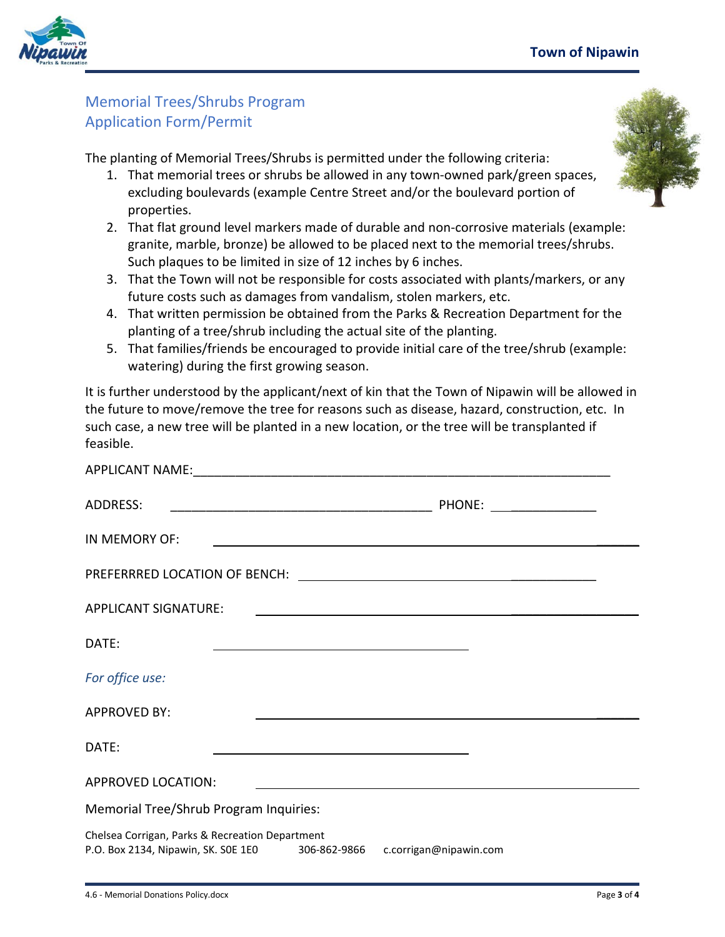

# Memorial Trees/Shrubs Program Application Form/Permit

The planting of Memorial Trees/Shrubs is permitted under the following criteria:

- 1. That memorial trees or shrubs be allowed in any town-owned park/green spaces, excluding boulevards (example Centre Street and/or the boulevard portion of properties.
- 2. That flat ground level markers made of durable and non-corrosive materials (example: granite, marble, bronze) be allowed to be placed next to the memorial trees/shrubs. Such plaques to be limited in size of 12 inches by 6 inches.
- 3. That the Town will not be responsible for costs associated with plants/markers, or any future costs such as damages from vandalism, stolen markers, etc.
- 4. That written permission be obtained from the Parks & Recreation Department for the planting of a tree/shrub including the actual site of the planting.
- 5. That families/friends be encouraged to provide initial care of the tree/shrub (example: watering) during the first growing season.

It is further understood by the applicant/next of kin that the Town of Nipawin will be allowed in the future to move/remove the tree for reasons such as disease, hazard, construction, etc. In such case, a new tree will be planted in a new location, or the tree will be transplanted if feasible.

| <b>ADDRESS:</b>                                                                                                            |                                                                                                                      |  |
|----------------------------------------------------------------------------------------------------------------------------|----------------------------------------------------------------------------------------------------------------------|--|
| IN MEMORY OF:                                                                                                              | <u> 1989 - Johann Harry Barn, mars ar y brening ar y brening ar y brening ar y brening ar y brening ar y brening</u> |  |
|                                                                                                                            |                                                                                                                      |  |
| <b>APPLICANT SIGNATURE:</b>                                                                                                | <u> 1989 - Johann Barbara, martxa alemaniar arg</u>                                                                  |  |
| DATE:<br><u> 1989 - Johann Barnett, fransk politiker (d. 1989)</u>                                                         |                                                                                                                      |  |
| For office use:                                                                                                            |                                                                                                                      |  |
| <b>APPROVED BY:</b>                                                                                                        |                                                                                                                      |  |
| DATE:                                                                                                                      |                                                                                                                      |  |
| <b>APPROVED LOCATION:</b>                                                                                                  |                                                                                                                      |  |
| Memorial Tree/Shrub Program Inquiries:                                                                                     |                                                                                                                      |  |
| Chelsea Corrigan, Parks & Recreation Department<br>P.O. Box 2134, Nipawin, SK. SOE 1E0 306-862-9866 c.corrigan@nipawin.com |                                                                                                                      |  |